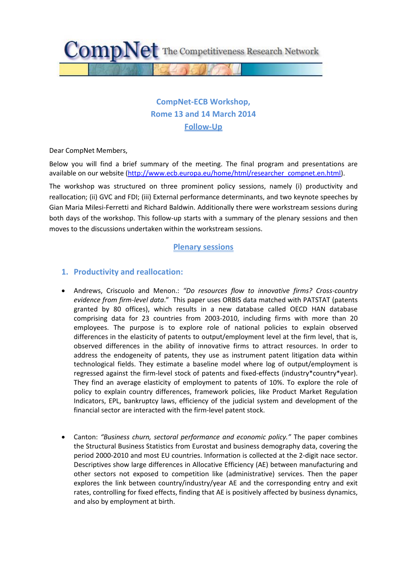

# **CompNet-ECB Workshop, Rome 13 and 14 March 2014 Follow-Up**

Dear CompNet Members,

Below you will find a brief summary of the meeting. The final program and presentations are available on our website [\(http://www.ecb.europa.eu/home/html/researcher\\_compnet.en.html\)](http://www.ecb.europa.eu/home/html/researcher_compnet.en.html).

The workshop was structured on three prominent policy sessions, namely (i) productivity and reallocation; (ii) GVC and FDI; (iii) External performance determinants, and two keynote speeches by Gian Maria Milesi-Ferretti and Richard Baldwin. Additionally there were workstream sessions during both days of the workshop. This follow-up starts with a summary of the plenary sessions and then moves to the discussions undertaken within the workstream sessions.

# **Plenary sessions**

## **1. Productivity and reallocation:**

- Andrews, Criscuolo and Menon.: *"Do resources flow to innovative firms? Cross-country evidence from firm-level data*." This paper uses ORBIS data matched with PATSTAT (patents granted by 80 offices), which results in a new database called OECD HAN database comprising data for 23 countries from 2003-2010, including firms with more than 20 employees. The purpose is to explore role of national policies to explain observed differences in the elasticity of patents to output/employment level at the firm level, that is, observed differences in the ability of innovative firms to attract resources. In order to address the endogeneity of patents, they use as instrument patent litigation data within technological fields. They estimate a baseline model where log of output/employment is regressed against the firm-level stock of patents and fixed-effects (industry\*country\*year). They find an average elasticity of employment to patents of 10%. To explore the role of policy to explain country differences, framework policies, like Product Market Regulation Indicators, EPL, bankruptcy laws, efficiency of the judicial system and development of the financial sector are interacted with the firm-level patent stock.
- Canton: *"Business churn, sectoral performance and economic policy."* The paper combines the Structural Business Statistics from Eurostat and business demography data, covering the period 2000-2010 and most EU countries. Information is collected at the 2-digit nace sector. Descriptives show large differences in Allocative Efficiency (AE) between manufacturing and other sectors not exposed to competition like (administrative) services. Then the paper explores the link between country/industry/year AE and the corresponding entry and exit rates, controlling for fixed effects, finding that AE is positively affected by business dynamics, and also by employment at birth.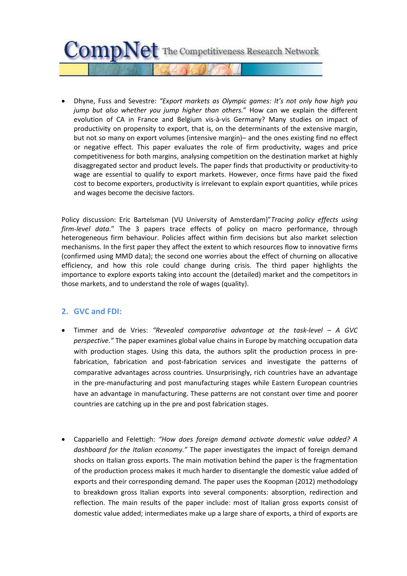

• Dhyne, Fuss and Sevestre: *"Export markets as Olympic games: It's not only how high you jump but also whether you jump higher than others.*" How can we explain the different evolution of CA in France and Belgium vis-à-vis Germany? Many studies on impact of productivity on propensity to export, that is, on the determinants of the extensive margin, but not so many on export volumes (intensive margin)– and the ones existing find no effect or negative effect. This paper evaluates the role of firm productivity, wages and price competitiveness for both margins, analysing competition on the destination market at highly disaggregated sector and product levels. The paper finds that productivity or productivity-to wage are essential to qualify to export markets. However, once firms have paid the fixed cost to become exporters, productivity is irrelevant to explain export quantities, while prices and wages become the decisive factors.

Policy discussion: Eric Bartelsman (VU University of Amsterdam)"*Tracing policy effects using firm-level data*." The 3 papers trace effects of policy on macro performance, through heterogeneous firm behaviour. Policies affect within firm decisions but also market selection mechanisms. In the first paper they affect the extent to which resources flow to innovative firms (confirmed using MMD data); the second one worries about the effect of churning on allocative efficiency, and how this role could change during crisis. The third paper highlights the importance to explore exports taking into account the (detailed) market and the competitors in those markets, and to understand the role of wages (quality).

# **2. GVC and FDI:**

- Timmer and de Vries: *"Revealed comparative advantage at the task-level – A GVC perspective."* The paper examines global value chains in Europe by matching occupation data with production stages. Using this data, the authors split the production process in prefabrication, fabrication and post-fabrication services and investigate the patterns of comparative advantages across countries. Unsurprisingly, rich countries have an advantage in the pre-manufacturing and post manufacturing stages while Eastern European countries have an advantage in manufacturing. These patterns are not constant over time and poorer countries are catching up in the pre and post fabrication stages.
- Cappariello and Felettigh: *"How does foreign demand activate domestic value added? A dashboard for the Italian economy."* The paper investigates the impact of foreign demand shocks on Italian gross exports. The main motivation behind the paper is the fragmentation of the production process makes it much harder to disentangle the domestic value added of exports and their corresponding demand. The paper uses the Koopman (2012) methodology to breakdown gross Italian exports into several components: absorption, redirection and reflection. The main results of the paper include: most of Italian gross exports consist of domestic value added; intermediates make up a large share of exports, a third of exports are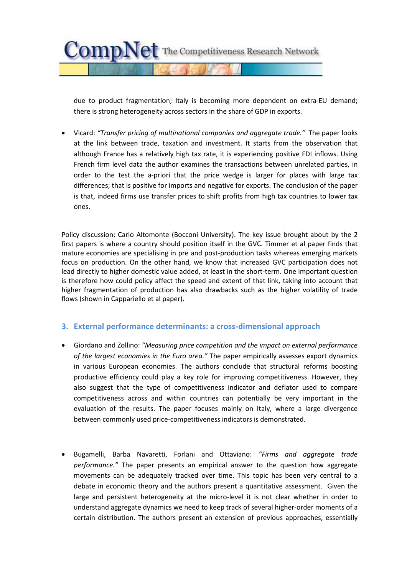

due to product fragmentation; Italy is becoming more dependent on extra-EU demand; there is strong heterogeneity across sectors in the share of GDP in exports.

• Vicard: *"Transfer pricing of multinational companies and aggregate trade."* The paper looks at the link between trade, taxation and investment. It starts from the observation that although France has a relatively high tax rate, it is experiencing positive FDI inflows. Using French firm level data the author examines the transactions between unrelated parties, in order to the test the a-priori that the price wedge is larger for places with large tax differences; that is positive for imports and negative for exports. The conclusion of the paper is that, indeed firms use transfer prices to shift profits from high tax countries to lower tax ones.

Policy discussion: Carlo Altomonte (Bocconi University). The key issue brought about by the 2 first papers is where a country should position itself in the GVC. Timmer et al paper finds that mature economies are specialising in pre and post-production tasks whereas emerging markets focus on production. On the other hand, we know that increased GVC participation does not lead directly to higher domestic value added, at least in the short-term. One important question is therefore how could policy affect the speed and extent of that link, taking into account that higher fragmentation of production has also drawbacks such as the higher volatility of trade flows (shown in Cappariello et al paper).

# **3. External performance determinants: a cross-dimensional approach**

- Giordano and Zollino: *"Measuring price competition and the impact on external performance of the largest economies in the Euro area."* The paper empirically assesses export dynamics in various European economies. The authors conclude that structural reforms boosting productive efficiency could play a key role for improving competitiveness. However, they also suggest that the type of competitiveness indicator and deflator used to compare competitiveness across and within countries can potentially be very important in the evaluation of the results. The paper focuses mainly on Italy, where a large divergence between commonly used price-competitiveness indicators is demonstrated.
- Bugamelli, Barba Navaretti, Forlani and Ottaviano: *"Firms and aggregate trade performance."* The paper presents an empirical answer to the question how aggregate movements can be adequately tracked over time. This topic has been very central to a debate in economic theory and the authors present a quantitative assessment. Given the large and persistent heterogeneity at the micro-level it is not clear whether in order to understand aggregate dynamics we need to keep track of several higher-order moments of a certain distribution. The authors present an extension of previous approaches, essentially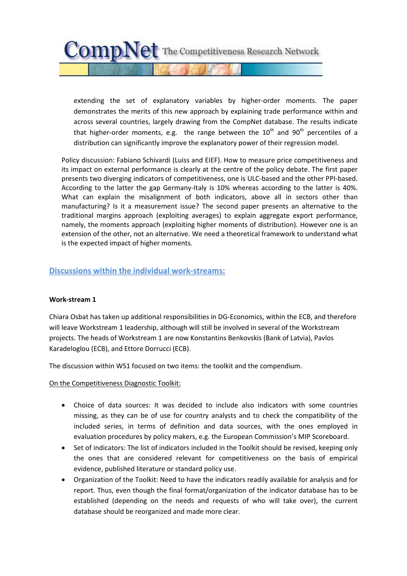$CompNet$  The Competitiveness Research Network

extending the set of explanatory variables by higher-order moments. The paper demonstrates the merits of this new approach by explaining trade performance within and across several countries, largely drawing from the CompNet database. The results indicate that higher-order moments, e.g. the range between the  $10^{th}$  and  $90^{th}$  percentiles of a distribution can significantly improve the explanatory power of their regression model.

Policy discussion: Fabiano Schivardi (Luiss and EIEF). How to measure price competitiveness and its impact on external performance is clearly at the centre of the policy debate. The first paper presents two diverging indicators of competitiveness, one is ULC-based and the other PPI-based. According to the latter the gap Germany-Italy is 10% whereas according to the latter is 40%. What can explain the misalignment of both indicators, above all in sectors other than manufacturing? Is it a measurement issue? The second paper presents an alternative to the traditional margins approach (exploiting averages) to explain aggregate export performance, namely, the moments approach (exploiting higher moments of distribution). However one is an extension of the other, not an alternative. We need a theoretical framework to understand what is the expected impact of higher moments.

# **Discussions within the individual work-streams:**

#### **Work-stream 1**

Chiara Osbat has taken up additional responsibilities in DG-Economics, within the ECB, and therefore will leave Workstream 1 leadership, although will still be involved in several of the Workstream projects. The heads of Workstream 1 are now Konstantins Benkovskis (Bank of Latvia), Pavlos Karadeloglou (ECB), and Ettore Dorrucci (ECB).

The discussion within WS1 focused on two items: the toolkit and the compendium.

#### On the Competitiveness Diagnostic Toolkit:

- Choice of data sources: It was decided to include also indicators with some countries missing, as they can be of use for country analysts and to check the compatibility of the included series, in terms of definition and data sources, with the ones employed in evaluation procedures by policy makers, e.g. the European Commission's MIP Scoreboard.
- Set of indicators: The list of indicators included in the Toolkit should be revised, keeping only the ones that are considered relevant for competitiveness on the basis of empirical evidence, published literature or standard policy use.
- Organization of the Toolkit: Need to have the indicators readily available for analysis and for report. Thus, even though the final format/organization of the indicator database has to be established (depending on the needs and requests of who will take over), the current database should be reorganized and made more clear.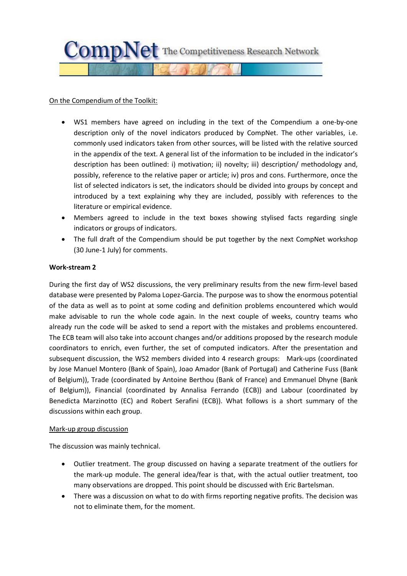

#### On the Compendium of the Toolkit:

- WS1 members have agreed on including in the text of the Compendium a one-by-one description only of the novel indicators produced by CompNet. The other variables, i.e. commonly used indicators taken from other sources, will be listed with the relative sourced in the appendix of the text. A general list of the information to be included in the indicator's description has been outlined: i) motivation; ii) novelty; iii) description/ methodology and, possibly, reference to the relative paper or article; iv) pros and cons. Furthermore, once the list of selected indicators is set, the indicators should be divided into groups by concept and introduced by a text explaining why they are included, possibly with references to the literature or empirical evidence.
- Members agreed to include in the text boxes showing stylised facts regarding single indicators or groups of indicators.
- The full draft of the Compendium should be put together by the next CompNet workshop (30 June-1 July) for comments.

#### **Work-stream 2**

During the first day of WS2 discussions, the very preliminary results from the new firm-level based database were presented by Paloma Lopez-Garcia. The purpose was to show the enormous potential of the data as well as to point at some coding and definition problems encountered which would make advisable to run the whole code again. In the next couple of weeks, country teams who already run the code will be asked to send a report with the mistakes and problems encountered. The ECB team will also take into account changes and/or additions proposed by the research module coordinators to enrich, even further, the set of computed indicators. After the presentation and subsequent discussion, the WS2 members divided into 4 research groups: Mark-ups (coordinated by Jose Manuel Montero (Bank of Spain), Joao Amador (Bank of Portugal) and Catherine Fuss (Bank of Belgium)), Trade (coordinated by Antoine Berthou (Bank of France) and Emmanuel Dhyne (Bank of Belgium)), Financial (coordinated by Annalisa Ferrando (ECB)) and Labour (coordinated by Benedicta Marzinotto (EC) and Robert Serafini (ECB)). What follows is a short summary of the discussions within each group.

#### Mark-up group discussion

The discussion was mainly technical.

- Outlier treatment. The group discussed on having a separate treatment of the outliers for the mark-up module. The general idea/fear is that, with the actual outlier treatment, too many observations are dropped. This point should be discussed with Eric Bartelsman.
- There was a discussion on what to do with firms reporting negative profits. The decision was not to eliminate them, for the moment.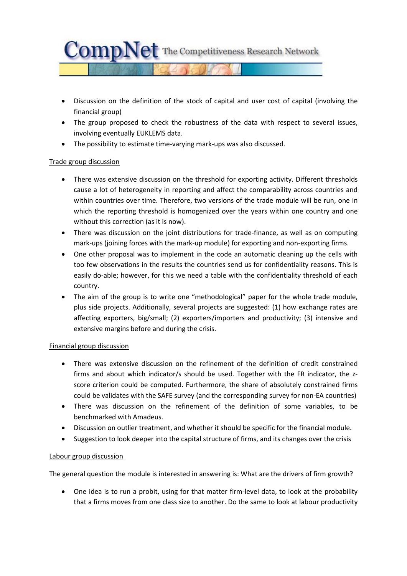

- Discussion on the definition of the stock of capital and user cost of capital (involving the financial group)
- The group proposed to check the robustness of the data with respect to several issues, involving eventually EUKLEMS data.
- The possibility to estimate time-varying mark-ups was also discussed.

## Trade group discussion

- There was extensive discussion on the threshold for exporting activity. Different thresholds cause a lot of heterogeneity in reporting and affect the comparability across countries and within countries over time. Therefore, two versions of the trade module will be run, one in which the reporting threshold is homogenized over the years within one country and one without this correction (as it is now).
- There was discussion on the joint distributions for trade-finance, as well as on computing mark-ups (joining forces with the mark-up module) for exporting and non-exporting firms.
- One other proposal was to implement in the code an automatic cleaning up the cells with too few observations in the results the countries send us for confidentiality reasons. This is easily do-able; however, for this we need a table with the confidentiality threshold of each country.
- The aim of the group is to write one "methodological" paper for the whole trade module, plus side projects. Additionally, several projects are suggested: (1) how exchange rates are affecting exporters, big/small; (2) exporters/importers and productivity; (3) intensive and extensive margins before and during the crisis.

## Financial group discussion

- There was extensive discussion on the refinement of the definition of credit constrained firms and about which indicator/s should be used. Together with the FR indicator, the zscore criterion could be computed. Furthermore, the share of absolutely constrained firms could be validates with the SAFE survey (and the corresponding survey for non-EA countries)
- There was discussion on the refinement of the definition of some variables, to be benchmarked with Amadeus.
- Discussion on outlier treatment, and whether it should be specific for the financial module.
- Suggestion to look deeper into the capital structure of firms, and its changes over the crisis

## Labour group discussion

The general question the module is interested in answering is: What are the drivers of firm growth?

• One idea is to run a probit, using for that matter firm-level data, to look at the probability that a firms moves from one class size to another. Do the same to look at labour productivity